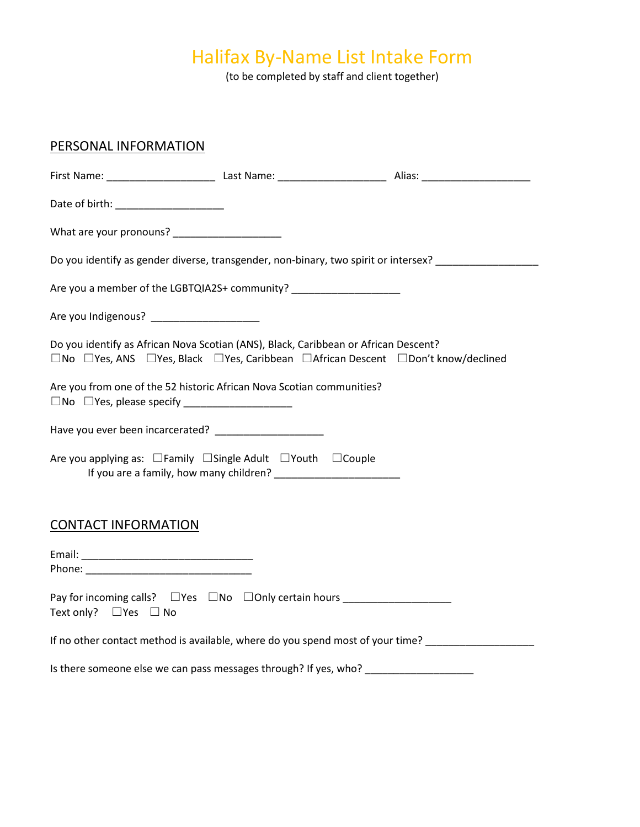# Halifax By-Name List Intake Form

(to be completed by staff and client together)

| PERSONAL INFORMATION                                                              |                                                                                                                                                                                                                              |  |
|-----------------------------------------------------------------------------------|------------------------------------------------------------------------------------------------------------------------------------------------------------------------------------------------------------------------------|--|
|                                                                                   |                                                                                                                                                                                                                              |  |
| Date of birth: _______________________                                            |                                                                                                                                                                                                                              |  |
|                                                                                   |                                                                                                                                                                                                                              |  |
|                                                                                   | Do you identify as gender diverse, transgender, non-binary, two spirit or intersex?                                                                                                                                          |  |
|                                                                                   | Are you a member of the LGBTQIA2S+ community? _____________________                                                                                                                                                          |  |
| Are you Indigenous? ______________________                                        |                                                                                                                                                                                                                              |  |
|                                                                                   | Do you identify as African Nova Scotian (ANS), Black, Caribbean or African Descent?<br>$\square$ No $\square$ Yes, ANS $\square$ Yes, Black $\square$ Yes, Caribbean $\square$ African Descent $\square$ Don't know/declined |  |
| Are you from one of the 52 historic African Nova Scotian communities?             |                                                                                                                                                                                                                              |  |
|                                                                                   |                                                                                                                                                                                                                              |  |
| Are you applying as: $\Box$ Family $\Box$ Single Adult $\Box$ Youth $\Box$ Couple |                                                                                                                                                                                                                              |  |
| <b>CONTACT INFORMATION</b>                                                        |                                                                                                                                                                                                                              |  |
|                                                                                   |                                                                                                                                                                                                                              |  |
| Text only? □ Yes □ No                                                             | Pay for incoming calls? $\Box$ Yes $\Box$ No $\Box$ Only certain hours                                                                                                                                                       |  |
|                                                                                   | If no other contact method is available, where do you spend most of your time?                                                                                                                                               |  |
|                                                                                   | Is there someone else we can pass messages through? If yes, who? ________________                                                                                                                                            |  |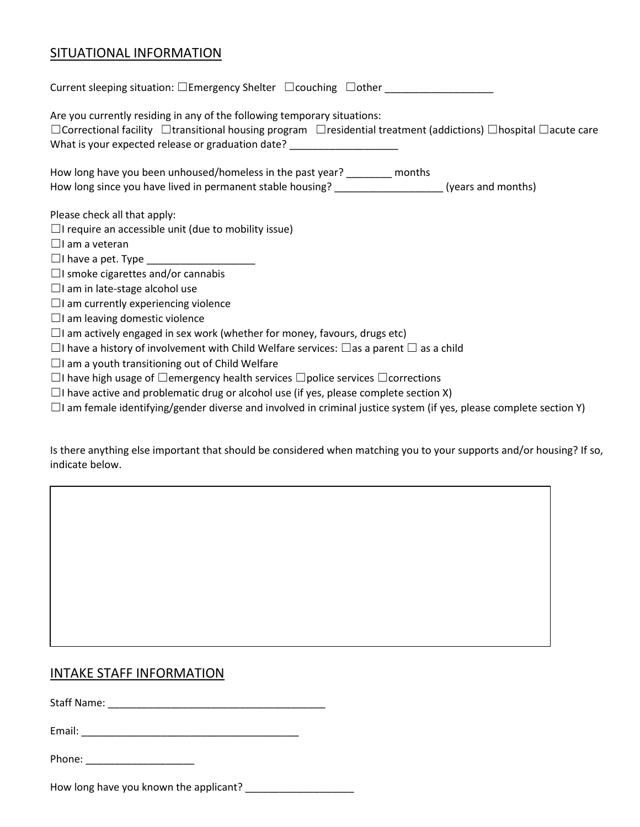### SITUATIONAL INFORMATION

| Current sleeping situation: $\square$ Emergency Shelter $\;\square$ couching $\;\square$ other $\;\square$                                                                                                                                                                                            |
|-------------------------------------------------------------------------------------------------------------------------------------------------------------------------------------------------------------------------------------------------------------------------------------------------------|
| Are you currently residing in any of the following temporary situations:<br>$\Box$ Correctional facility $\Box$ transitional housing program $\Box$ residential treatment (addictions) $\Box$ hospital $\Box$ acute care<br>What is your expected release or graduation date? _______________________ |
| How long have you been unhoused/homeless in the past year? ________ months<br>How long since you have lived in permanent stable housing? [[11] (years and months)                                                                                                                                     |
| Please check all that apply:                                                                                                                                                                                                                                                                          |
| $\Box$ I require an accessible unit (due to mobility issue)                                                                                                                                                                                                                                           |
| $\Box$ I am a veteran                                                                                                                                                                                                                                                                                 |
|                                                                                                                                                                                                                                                                                                       |
| $\Box$ I smoke cigarettes and/or cannabis                                                                                                                                                                                                                                                             |
| $\Box$ I am in late-stage alcohol use                                                                                                                                                                                                                                                                 |
| $\Box$ I am currently experiencing violence                                                                                                                                                                                                                                                           |
| $\Box$ I am leaving domestic violence                                                                                                                                                                                                                                                                 |
| $\Box$ I am actively engaged in sex work (whether for money, favours, drugs etc)                                                                                                                                                                                                                      |
| $\Box$ I have a history of involvement with Child Welfare services: $\Box$ as a parent $\Box$ as a child                                                                                                                                                                                              |
| $\Box$ I am a youth transitioning out of Child Welfare                                                                                                                                                                                                                                                |
| $\Box$ I have high usage of $\Box$ emergency health services $\Box$ police services $\Box$ corrections                                                                                                                                                                                                |
| $\Box$ have active and problematic drug or alcohol use (if yes, please complete section X)                                                                                                                                                                                                            |

☐I am female identifying/gender diverse and involved in criminal justice system (if yes, please complete section Y)

Is there anything else important that should be considered when matching you to your supports and/or housing? If so, indicate below.

### INTAKE STAFF INFORMATION

Staff Name: \_\_\_\_\_\_\_\_\_\_\_\_\_\_\_\_\_\_\_\_\_\_\_\_\_\_\_\_\_\_\_\_\_\_\_\_\_\_

Email: \_\_\_\_\_\_\_\_\_\_\_\_\_\_\_\_\_\_\_\_\_\_\_\_\_\_\_\_\_\_\_\_\_\_\_\_\_\_

Phone: \_\_\_\_\_\_\_\_\_\_\_\_\_\_\_\_\_\_\_

How long have you known the applicant? \_\_\_\_\_\_\_\_\_\_\_\_\_\_\_\_\_\_\_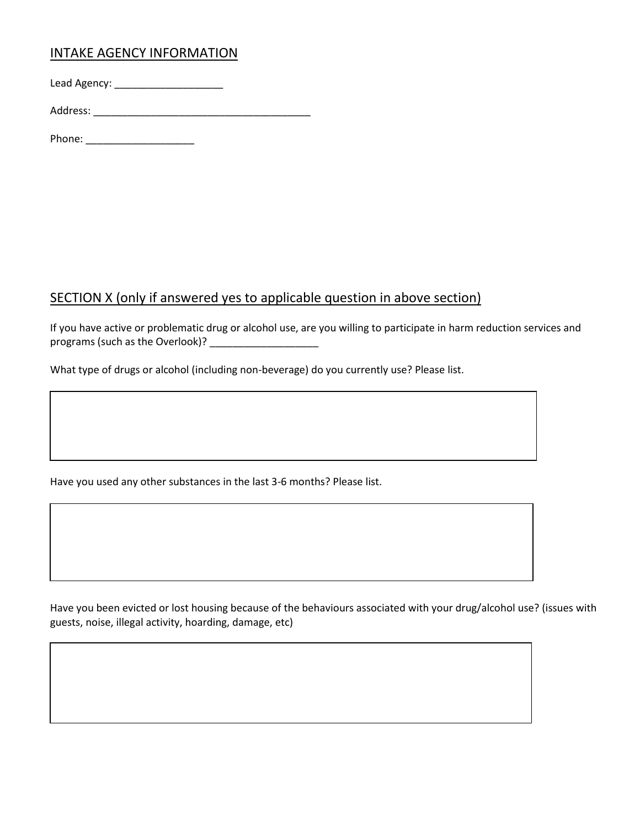### INTAKE AGENCY INFORMATION

Lead Agency: \_\_\_\_\_\_\_\_\_\_\_\_\_\_\_\_\_\_\_

Address: \_\_\_\_\_\_\_\_\_\_\_\_\_\_\_\_\_\_\_\_\_\_\_\_\_\_\_\_\_\_\_\_\_\_\_\_\_\_

Phone:  $\blacksquare$ 

### SECTION X (only if answered yes to applicable question in above section)

If you have active or problematic drug or alcohol use, are you willing to participate in harm reduction services and programs (such as the Overlook)? \_\_\_\_\_\_\_\_\_\_\_\_\_\_\_\_\_\_\_

What type of drugs or alcohol (including non-beverage) do you currently use? Please list.

Have you used any other substances in the last 3-6 months? Please list.

Have you been evicted or lost housing because of the behaviours associated with your drug/alcohol use? (issues with guests, noise, illegal activity, hoarding, damage, etc)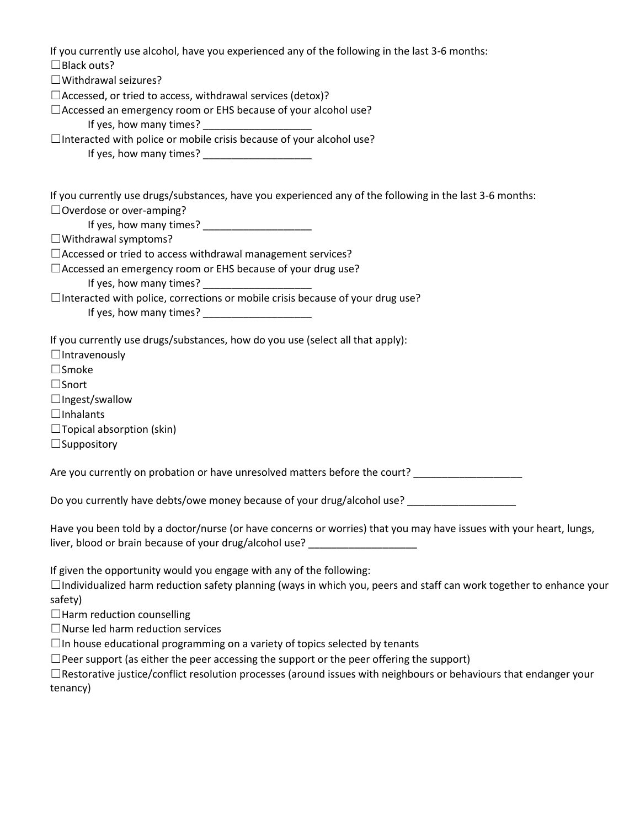| If you currently use alcohol, have you experienced any of the following in the last 3-6 months:<br>$\Box$ Black outs?                                                                              |  |  |  |  |
|----------------------------------------------------------------------------------------------------------------------------------------------------------------------------------------------------|--|--|--|--|
| $\Box$ Withdrawal seizures?                                                                                                                                                                        |  |  |  |  |
| $\Box$ Accessed, or tried to access, withdrawal services (detox)?                                                                                                                                  |  |  |  |  |
| □ Accessed an emergency room or EHS because of your alcohol use?                                                                                                                                   |  |  |  |  |
|                                                                                                                                                                                                    |  |  |  |  |
| $\Box$ Interacted with police or mobile crisis because of your alcohol use?                                                                                                                        |  |  |  |  |
| If yes, how many times? ____________________                                                                                                                                                       |  |  |  |  |
| If you currently use drugs/substances, have you experienced any of the following in the last 3-6 months:                                                                                           |  |  |  |  |
| $\Box$ Overdose or over-amping?                                                                                                                                                                    |  |  |  |  |
|                                                                                                                                                                                                    |  |  |  |  |
| $\Box$ Withdrawal symptoms?                                                                                                                                                                        |  |  |  |  |
| □ Accessed or tried to access withdrawal management services?                                                                                                                                      |  |  |  |  |
| □ Accessed an emergency room or EHS because of your drug use?                                                                                                                                      |  |  |  |  |
| If yes, how many times? _______________________                                                                                                                                                    |  |  |  |  |
| □Interacted with police, corrections or mobile crisis because of your drug use?                                                                                                                    |  |  |  |  |
| If yes, how many times? _______________________                                                                                                                                                    |  |  |  |  |
| If you currently use drugs/substances, how do you use (select all that apply):                                                                                                                     |  |  |  |  |
| $\Box$ Intravenously                                                                                                                                                                               |  |  |  |  |
| $\square$ Smoke                                                                                                                                                                                    |  |  |  |  |
| $\square$ Snort                                                                                                                                                                                    |  |  |  |  |
| $\Box$ Ingest/swallow                                                                                                                                                                              |  |  |  |  |
| $\Box$ Inhalants                                                                                                                                                                                   |  |  |  |  |
| $\Box$ Topical absorption (skin)                                                                                                                                                                   |  |  |  |  |
| $\Box$ Suppository                                                                                                                                                                                 |  |  |  |  |
| Are you currently on probation or have unresolved matters before the court? ________________________                                                                                               |  |  |  |  |
| Do you currently have debts/owe money because of your drug/alcohol use? _______________                                                                                                            |  |  |  |  |
| Have you been told by a doctor/nurse (or have concerns or worries) that you may have issues with your heart, lungs,<br>liver, blood or brain because of your drug/alcohol use? ___________________ |  |  |  |  |
| If given the opportunity would you engage with any of the following:                                                                                                                               |  |  |  |  |
| $\Box$ Individualized harm reduction safety planning (ways in which you, peers and staff can work together to enhance your<br>safety)                                                              |  |  |  |  |
| $\Box$ Harm reduction counselling                                                                                                                                                                  |  |  |  |  |
| $\Box$ Nurse led harm reduction services                                                                                                                                                           |  |  |  |  |
|                                                                                                                                                                                                    |  |  |  |  |

□In house educational programming on a variety of topics selected by tenants

☐Peer support (as either the peer accessing the support or the peer offering the support)

☐Restorative justice/conflict resolution processes (around issues with neighbours or behaviours that endanger your tenancy)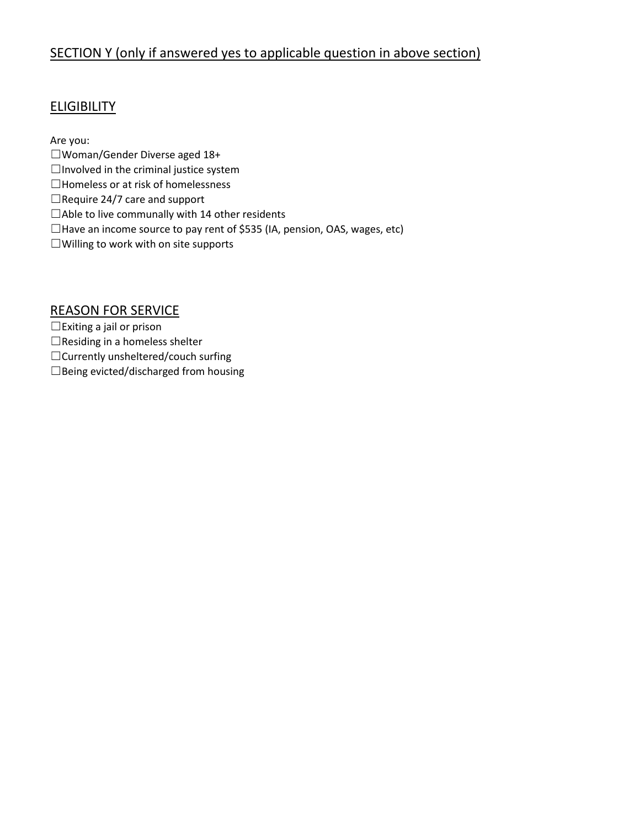### SECTION Y (only if answered yes to applicable question in above section)

### **ELIGIBILITY**

Are you:

- ☐Woman/Gender Diverse aged 18+
- $\Box$ Involved in the criminal justice system
- ☐Homeless or at risk of homelessness
- $\Box$ Require 24/7 care and support
- ☐Able to live communally with 14 other residents
- ☐Have an income source to pay rent of \$535 (IA, pension, OAS, wages, etc)
- ☐Willing to work with on site supports

#### REASON FOR SERVICE

☐Exiting a jail or prison

- $\Box$ Residing in a homeless shelter
- ☐Currently unsheltered/couch surfing
- ☐Being evicted/discharged from housing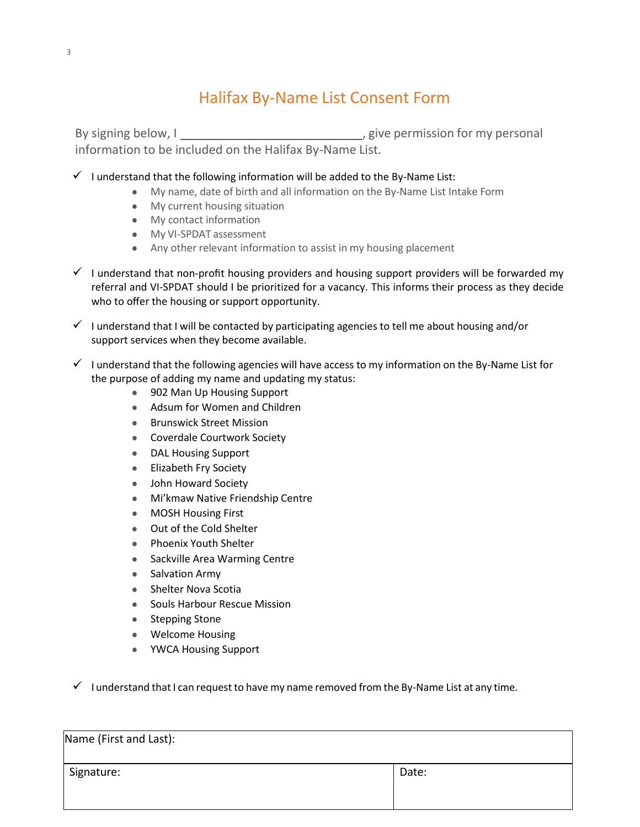# Halifax By-Name List Consent Form

By signing below, I  $\qquad \qquad \qquad$  , give permission for my personal information to be included on the Halifax By-Name List.

- $\checkmark$  I understand that the following information will be added to the By-Name List:
	- My name, date of birth and all information on the By-Name List Intake Form
	- My current housing situation
	- My contact information
	- My VI-SPDAT assessment
	- Any other relevant information to assist in my housing placement
- $\checkmark$  I understand that non-profit housing providers and housing support providers will be forwarded my referral and VI-SPDAT should I be prioritized for a vacancy. This informs their process as they decide who to offer the housing or support opportunity.
- $\checkmark$  I understand that I will be contacted by participating agencies to tell me about housing and/or support services when they become available.
- $\checkmark$  I understand that the following agencies will have access to my information on the By-Name List for the purpose of adding my name and updating my status:
	- 902 Man Up Housing Support
	- Adsum for Women and Children
	- **Brunswick Street Mission**
	- Coverdale Courtwork Society
	- DAL Housing Support
	- Elizabeth Fry Society
	- John Howard Society
	- Mi'kmaw Native Friendship Centre
	- MOSH Housing First
	- Out of the Cold Shelter
	- Phoenix Youth Shelter
	- Sackville Area Warming Centre
	- Salvation Army
	- Shelter Nova Scotia
	- Souls Harbour Rescue Mission
	- Stepping Stone
	- Welcome Housing
	- YWCA Housing Support

 $\checkmark$  I understand that I can request to have my name removed from the By-Name List at any time.

| Name (First and Last): |       |
|------------------------|-------|
| Signature:             | Date: |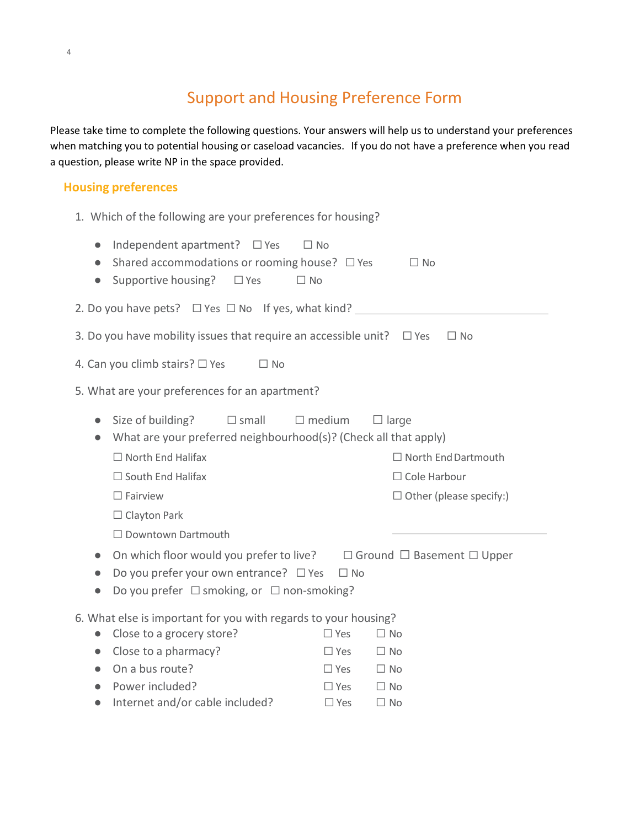## Support and Housing Preference Form

Please take time to complete the following questions. Your answers will help us to understand your preferences when matching you to potential housing or caseload vacancies. If you do not have a preference when you read a question, please write NP in the space provided.

#### **Housing preferences**

| 1. Which of the following are your preferences for housing?                                                                                                                                                                                                                                        |  |  |  |  |  |
|----------------------------------------------------------------------------------------------------------------------------------------------------------------------------------------------------------------------------------------------------------------------------------------------------|--|--|--|--|--|
| Independent apartment? □ Yes<br>$\Box$ No<br>$\bullet$<br>Shared accommodations or rooming house? $\Box$ Yes<br>$\Box$ No<br>$\bullet$<br>Supportive housing?<br>$\Box$ Yes<br>$\Box$ No<br>$\bullet$                                                                                              |  |  |  |  |  |
| 2. Do you have pets? $\Box$ Yes $\Box$ No If yes, what kind?                                                                                                                                                                                                                                       |  |  |  |  |  |
| 3. Do you have mobility issues that require an accessible unit? $\Box$ Yes<br>$\Box$ No                                                                                                                                                                                                            |  |  |  |  |  |
| 4. Can you climb stairs? $\Box$ Yes<br>$\Box$ No                                                                                                                                                                                                                                                   |  |  |  |  |  |
| 5. What are your preferences for an apartment?                                                                                                                                                                                                                                                     |  |  |  |  |  |
| Size of building?<br>$\square$ small<br>$\Box$ medium<br>$\Box$ large<br>$\bullet$<br>What are your preferred neighbourhood(s)? (Check all that apply)<br>$\bullet$<br>$\Box$ North End Halifax<br>$\Box$ North End Dartmouth<br>$\Box$ South End Halifax<br>$\Box$ Cole Harbour                   |  |  |  |  |  |
| $\Box$ Fairview<br>$\Box$ Other (please specify:)                                                                                                                                                                                                                                                  |  |  |  |  |  |
| $\Box$ Clayton Park<br>$\Box$ Downtown Dartmouth<br>On which floor would you prefer to live? $\Box$ Ground $\Box$ Basement $\Box$ Upper<br>$\bullet$<br>Do you prefer your own entrance? $\Box$ Yes<br>$\Box$ No<br>$\bullet$<br>Do you prefer $\Box$ smoking, or $\Box$ non-smoking?<br>$\bullet$ |  |  |  |  |  |
| 6. What else is important for you with regards to your housing?                                                                                                                                                                                                                                    |  |  |  |  |  |
| Close to a grocery store?<br>$\Box$ Yes<br>$\Box$ No<br>$\bullet$                                                                                                                                                                                                                                  |  |  |  |  |  |
| Close to a pharmacy?<br>$\Box$ Yes<br>$\Box$ No<br>$\bullet$                                                                                                                                                                                                                                       |  |  |  |  |  |
| On a bus route?<br>$\Box$ No<br>$\Box$ Yes<br>$\bullet$                                                                                                                                                                                                                                            |  |  |  |  |  |
| Power included?<br>$\Box$ Yes<br>$\Box$ No<br>$\bullet$                                                                                                                                                                                                                                            |  |  |  |  |  |
| Internet and/or cable included?<br>$\Box$ Yes<br>$\Box$ No<br>$\bullet$                                                                                                                                                                                                                            |  |  |  |  |  |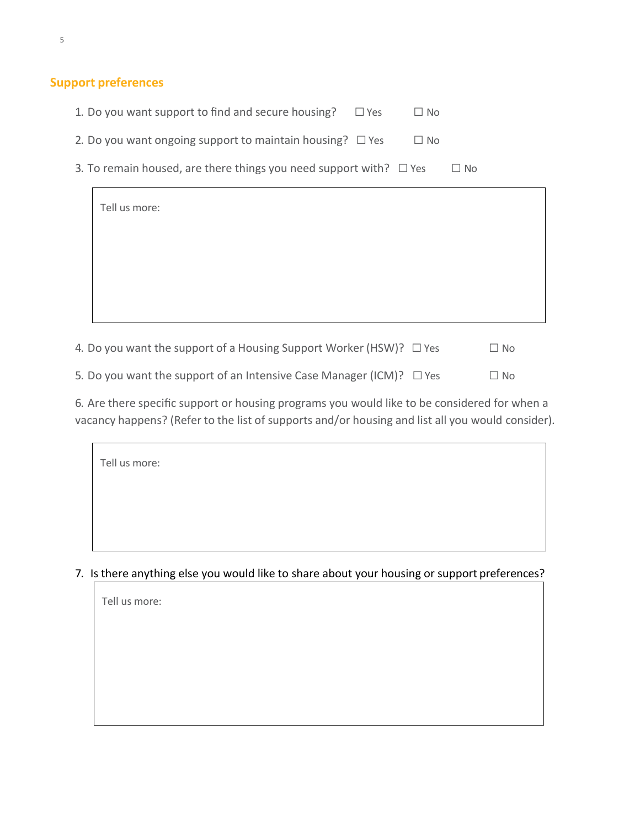### **Support preferences**

| 1. Do you want support to find and secure housing?<br>$\Box$ Yes<br>$\Box$ No        |  |
|--------------------------------------------------------------------------------------|--|
| 2. Do you want ongoing support to maintain housing? $\Box$ Yes<br>$\Box$ No          |  |
| 3. To remain housed, are there things you need support with? $\Box$ Yes<br>$\Box$ No |  |
| Tell us more:                                                                        |  |
|                                                                                      |  |
|                                                                                      |  |
|                                                                                      |  |
|                                                                                      |  |

4. Do you want the support of a Housing Support Worker (HSW)?  $\Box$  Yes  $\Box$  No 5. Do you want the support of an Intensive Case Manager (ICM)?  $\Box$  Yes  $\Box$  No

6. Are there specific support or housing programs you would like to be considered for when a vacancy happens? (Refer to the list of supports and/or housing and list all you would consider).

| Tell us more: |  |  |  |
|---------------|--|--|--|
|               |  |  |  |
|               |  |  |  |

7. Is there anything else you would like to share about your housing or support preferences?

| Tell us more: |  |  |  |
|---------------|--|--|--|
|               |  |  |  |
|               |  |  |  |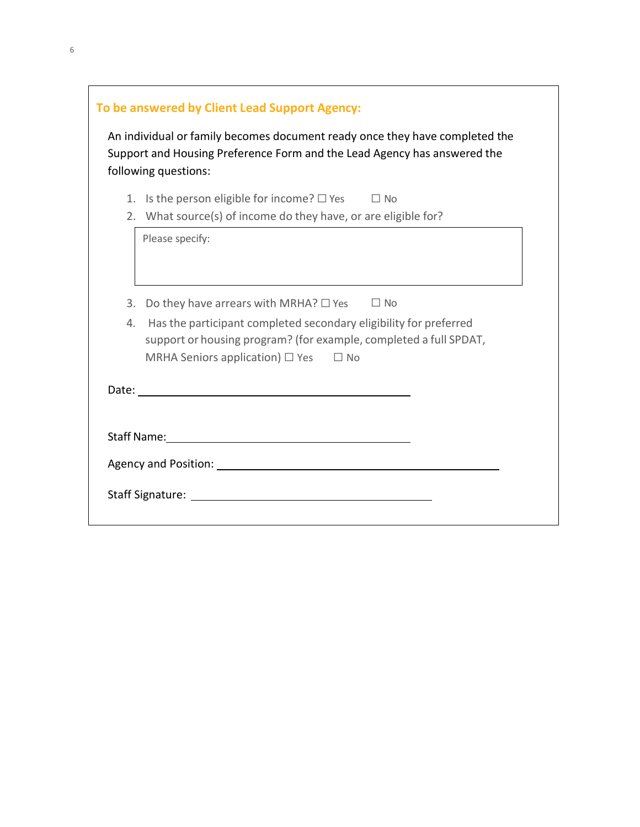|    | To be answered by Client Lead Support Agency:                                                                                                                                                                                 |
|----|-------------------------------------------------------------------------------------------------------------------------------------------------------------------------------------------------------------------------------|
|    | An individual or family becomes document ready once they have completed the<br>Support and Housing Preference Form and the Lead Agency has answered the<br>following questions:                                               |
| 1. | Is the person eligible for income? $\square$ Yes $\square$ No                                                                                                                                                                 |
|    | 2. What source(s) of income do they have, or are eligible for?                                                                                                                                                                |
|    | Please specify:                                                                                                                                                                                                               |
| 3. | Do they have arrears with MRHA? $\Box$ Yes $\Box$ No                                                                                                                                                                          |
| 4. | Has the participant completed secondary eligibility for preferred<br>support or housing program? (for example, completed a full SPDAT,<br>MRHA Seniors application) $\Box$ Yes<br>$\Box$ No                                   |
|    |                                                                                                                                                                                                                               |
|    | Staff Name: Name and Staff Name and Staff Name and Staff Name and Staff Name and Staff Name and Staff Name and Staff Name and Staff Name and Staff Name and Staff Name and Staff Name and Staff Name and Staff Name and Staff |
|    |                                                                                                                                                                                                                               |
|    |                                                                                                                                                                                                                               |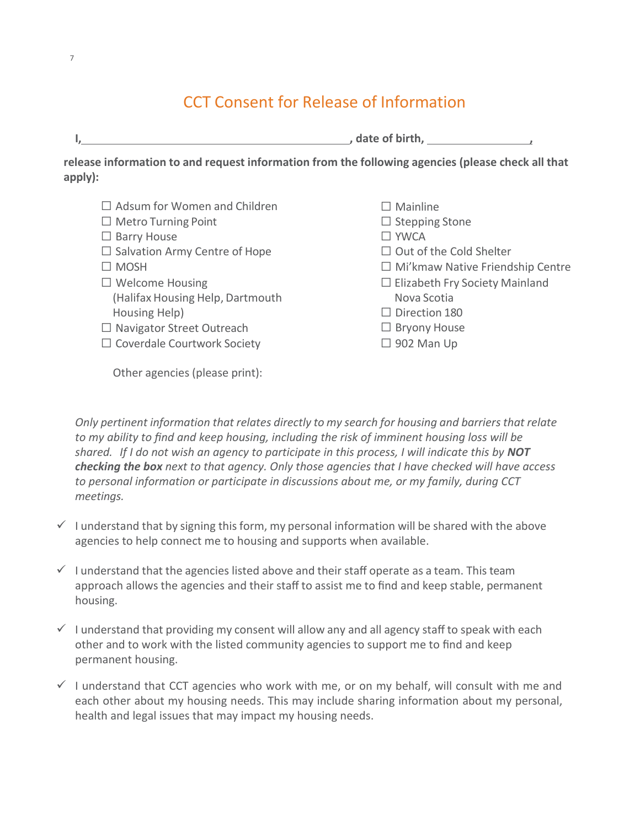# CCT Consent for Release of Information

| , date of birth,                                                                                  |
|---------------------------------------------------------------------------------------------------|
| release information to and request information from the following agencies (please check all that |

| $\Box$ Adsum for Women and Children  | $\Box$ Mainline                         |
|--------------------------------------|-----------------------------------------|
| $\Box$ Metro Turning Point           | $\Box$ Stepping Stone                   |
| $\Box$ Barry House                   | $\Box$ YWCA                             |
| $\Box$ Salvation Army Centre of Hope | $\Box$ Out of the Cold Shelter          |
| $\Box$ MOSH                          | $\Box$ Mi'kmaw Native Friendship Centre |
| $\Box$ Welcome Housing               | $\Box$ Elizabeth Fry Society Mainland   |
| (Halifax Housing Help, Dartmouth     | Nova Scotia                             |
| Housing Help)                        | $\Box$ Direction 180                    |
| $\Box$ Navigator Street Outreach     | $\Box$ Bryony House                     |
| $\Box$ Coverdale Courtwork Society   | $\Box$ 902 Man Up                       |

Other agencies (please print):

*Only pertinent information that relates directly to my search for housing and barriers that relate to my ability to find and keep housing, including the risk of imminent housing loss will be shared. If I do not wish an agency to participate in this process, I will indicate this by NOT checking the box next to that agency. Only those agencies that I have checked will have access to personal information or participate in discussions about me, or my family, during CCT meetings.*

- $\checkmark$  I understand that by signing this form, my personal information will be shared with the above agencies to help connect me to housing and supports when available.
- $\checkmark$  I understand that the agencies listed above and their staff operate as a team. This team approach allows the agencies and their staff to assist me to find and keep stable, permanent housing.
- $\checkmark$  I understand that providing my consent will allow any and all agency staff to speak with each other and to work with the listed community agencies to support me to find and keep permanent housing.
- $\checkmark$  I understand that CCT agencies who work with me, or on my behalf, will consult with me and each other about my housing needs. This may include sharing information about my personal, health and legal issues that may impact my housing needs.

**apply):**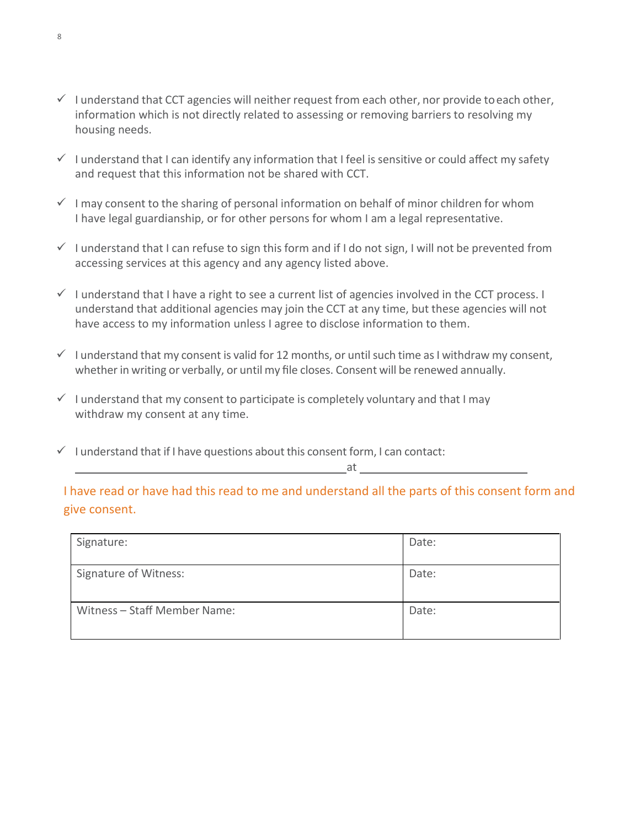- $\checkmark$  I understand that CCT agencies will neither request from each other, nor provide to each other, information which is not directly related to assessing or removing barriers to resolving my housing needs.
- $\checkmark$  I understand that I can identify any information that I feel is sensitive or could affect my safety and request that this information not be shared with CCT.
- $\checkmark$  I may consent to the sharing of personal information on behalf of minor children for whom I have legal guardianship, or for other persons for whom I am a legal representative.
- $\checkmark$  I understand that I can refuse to sign this form and if I do not sign, I will not be prevented from accessing services at this agency and any agency listed above.
- $\checkmark$  I understand that I have a right to see a current list of agencies involved in the CCT process. I understand that additional agencies may join the CCT at any time, but these agencies will not have access to my information unless I agree to disclose information to them.
- $\checkmark$  I understand that my consent is valid for 12 months, or until such time as I withdraw my consent, whetherin writing or verbally, or until my file closes. Consent will be renewed annually.
- $\checkmark$  I understand that my consent to participate is completely voluntary and that I may withdraw my consent at any time.
- $\checkmark$  I understand that if I have questions about this consent form, I can contact:

at

I have read or have had this read to me and understand all the parts of this consent form and give consent.

| Signature:                   | Date: |
|------------------------------|-------|
| <b>Signature of Witness:</b> | Date: |
| Witness - Staff Member Name: | Date: |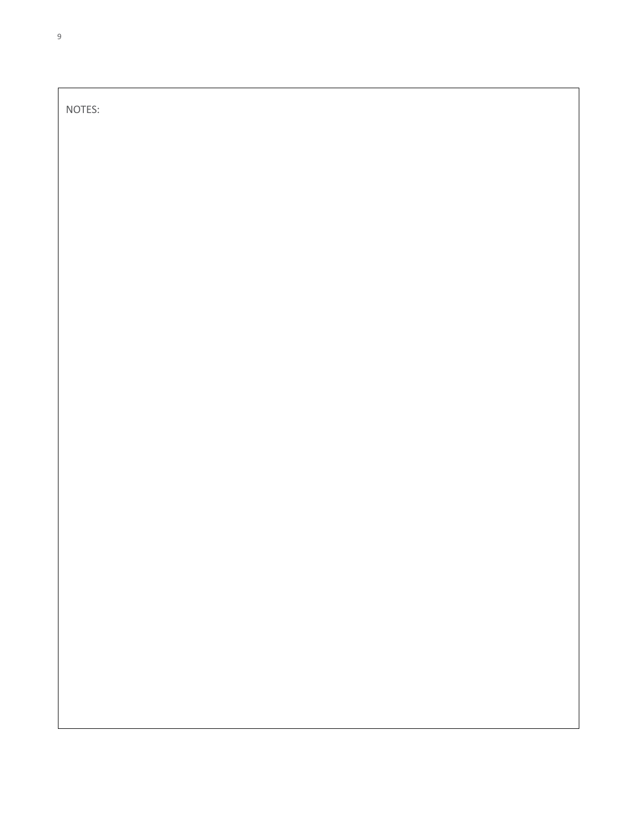NOTES: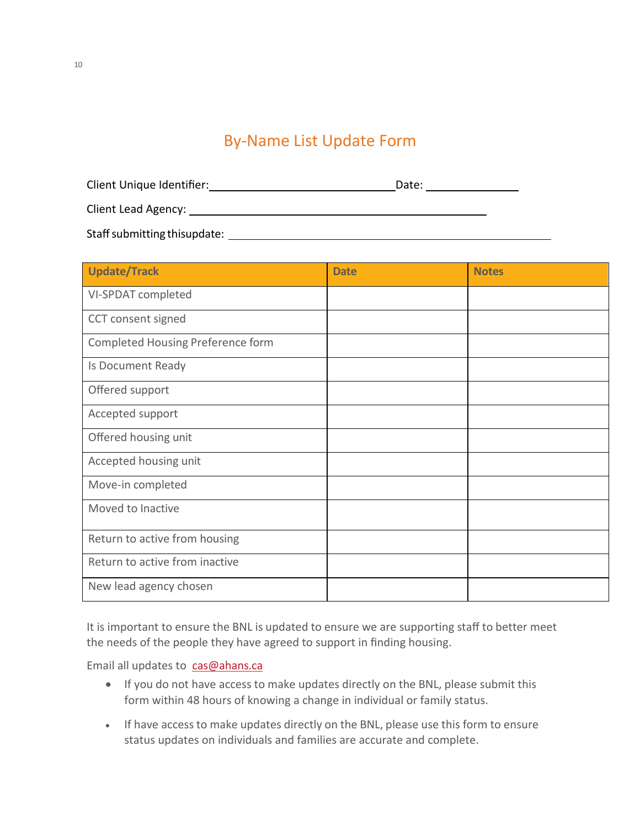### By-Name List Update Form

| Client Unique Identifier:    | Date: |  |
|------------------------------|-------|--|
| <b>Client Lead Agency:</b>   |       |  |
| Staff submitting thisupdate: |       |  |

| <b>Update/Track</b>               | <b>Date</b> | <b>Notes</b> |
|-----------------------------------|-------------|--------------|
| VI-SPDAT completed                |             |              |
| CCT consent signed                |             |              |
| Completed Housing Preference form |             |              |
| Is Document Ready                 |             |              |
| Offered support                   |             |              |
| Accepted support                  |             |              |
| Offered housing unit              |             |              |
| Accepted housing unit             |             |              |
| Move-in completed                 |             |              |
| Moved to Inactive                 |             |              |
| Return to active from housing     |             |              |
| Return to active from inactive    |             |              |
| New lead agency chosen            |             |              |

It is important to ensure the BNL is updated to ensure we are supporting staff to better meet the needs of the people they have agreed to support in finding housing.

Email all updates to [cas@ahans.ca](mailto:cas@ahans.c)

- If you do not have access to make updates directly on the BNL, please submit this form within 48 hours of knowing a change in individual or family status.
- If have access to make updates directly on the BNL, please use this form to ensure status updates on individuals and families are accurate and complete.